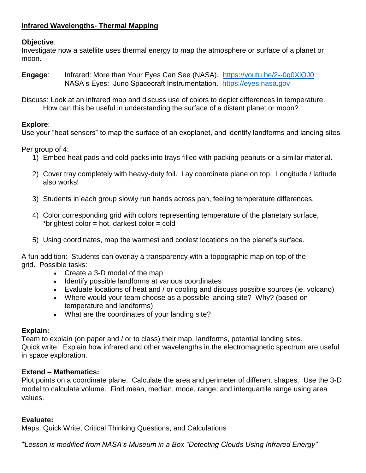# **Objective**:

Investigate how a satellite uses thermal energy to map the atmosphere or surface of a planet or moon.

- **Engage:** Infrared: More than Your Eyes Can See (NASA). <https://youtu.be/2--0q0XlQJ0> NASA's Eyes: Juno Spacecraft Instrumentation. [https://eyes.nasa.gov](https://eyes.nasa.gov/)
- Discuss: Look at an infrared map and discuss use of colors to depict differences in temperature. How can this be useful in understanding the surface of a distant planet or moon?

# **Explore**:

Use your "heat sensors" to map the surface of an exoplanet, and identify landforms and landing sites

Per group of 4:

- 1) Embed heat pads and cold packs into trays filled with packing peanuts or a similar material.
- 2) Cover tray completely with heavy-duty foil. Lay coordinate plane on top. Longitude / latitude also works!
- 3) Students in each group slowly run hands across pan, feeling temperature differences.
- 4) Color corresponding grid with colors representing temperature of the planetary surface, \*brightest color = hot, darkest color =  $cold$
- 5) Using coordinates, map the warmest and coolest locations on the planet's surface.

A fun addition: Students can overlay a transparency with a topographic map on top of the grid. Possible tasks:

- Create a 3-D model of the map
- Identify possible landforms at various coordinates
- Evaluate locations of heat and / or cooling and discuss possible sources (ie. volcano)
- Where would your team choose as a possible landing site? Why? (based on temperature and landforms)
- What are the coordinates of your landing site?

# **Explain:**

Team to explain (on paper and / or to class) their map, landforms, potential landing sites. Quick write: Explain how infrared and other wavelengths in the electromagnetic spectrum are useful in space exploration.

# **Extend – Mathematics:**

Plot points on a coordinate plane. Calculate the area and perimeter of different shapes. Use the 3-D model to calculate volume. Find mean, median, mode, range, and interquartile range using area values.

# **Evaluate:**

Maps, Quick Write, Critical Thinking Questions, and Calculations

*\*Lesson is modified from NASA's Museum in a Box "Detecting Clouds Using Infrared Energy"*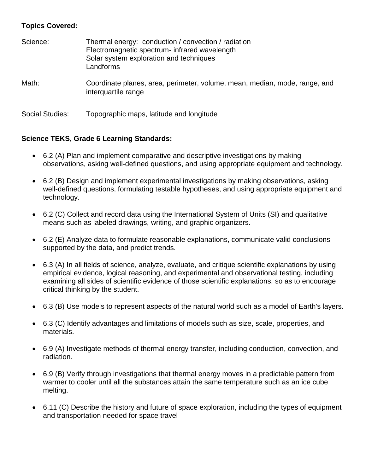# **Topics Covered:**

| Science:        | Thermal energy: conduction / convection / radiation<br>Electromagnetic spectrum- infrared wavelength<br>Solar system exploration and techniques<br>Landforms |
|-----------------|--------------------------------------------------------------------------------------------------------------------------------------------------------------|
| Math:           | Coordinate planes, area, perimeter, volume, mean, median, mode, range, and<br>interquartile range                                                            |
| Social Studies: | Topographic maps, latitude and longitude                                                                                                                     |

### **Science TEKS, Grade 6 Learning Standards:**

- 6.2 (A) Plan and implement comparative and descriptive investigations by making observations, asking well-defined questions, and using appropriate equipment and technology.
- 6.2 (B) Design and implement experimental investigations by making observations, asking well-defined questions, formulating testable hypotheses, and using appropriate equipment and technology.
- 6.2 (C) Collect and record data using the International System of Units (SI) and qualitative means such as labeled drawings, writing, and graphic organizers.
- 6.2 (E) Analyze data to formulate reasonable explanations, communicate valid conclusions supported by the data, and predict trends.
- 6.3 (A) In all fields of science, analyze, evaluate, and critique scientific explanations by using empirical evidence, logical reasoning, and experimental and observational testing, including examining all sides of scientific evidence of those scientific explanations, so as to encourage critical thinking by the student.
- 6.3 (B) Use models to represent aspects of the natural world such as a model of Earth's layers.
- 6.3 (C) Identify advantages and limitations of models such as size, scale, properties, and materials.
- 6.9 (A) Investigate methods of thermal energy transfer, including conduction, convection, and radiation.
- 6.9 (B) Verify through investigations that thermal energy moves in a predictable pattern from warmer to cooler until all the substances attain the same temperature such as an ice cube melting.
- 6.11 (C) Describe the history and future of space exploration, including the types of equipment and transportation needed for space travel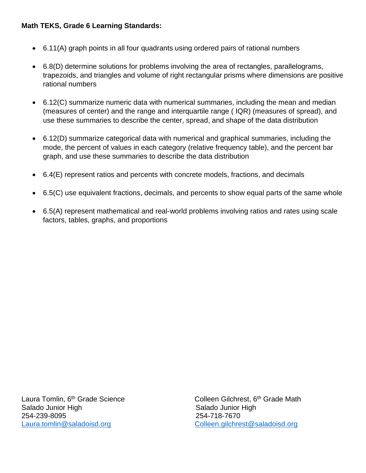### **Math TEKS, Grade 6 Learning Standards:**

- 6.11(A) graph points in all four quadrants using ordered pairs of rational numbers
- 6.8(D) determine solutions for problems involving the area of rectangles, parallelograms, trapezoids, and triangles and volume of right rectangular prisms where dimensions are positive rational numbers
- 6.12(C) summarize numeric data with numerical summaries, including the mean and median (measures of center) and the range and interquartile range ( IQR) (measures of spread), and use these summaries to describe the center, spread, and shape of the data distribution
- 6.12(D) summarize categorical data with numerical and graphical summaries, including the mode, the percent of values in each category (relative frequency table), and the percent bar graph, and use these summaries to describe the data distribution
- 6.4(E) represent ratios and percents with concrete models, fractions, and decimals
- 6.5(C) use equivalent fractions, decimals, and percents to show equal parts of the same whole
- 6.5(A) represent mathematical and real‐world problems involving ratios and rates using scale factors, tables, graphs, and proportions

Salado Junior High Salado Junior High 254-239-8095 254-718-7670 [Laura.tomlin@saladoisd.org](mailto:Laura.tomlin@saladoisd.org) [Colleen.gilchrest@saladoisd.org](mailto:Colleen.gilchrest@saladoisd.org)

Laura Tomlin, 6<sup>th</sup> Grade Science Colleen Gilchrest, 6<sup>th</sup> Grade Math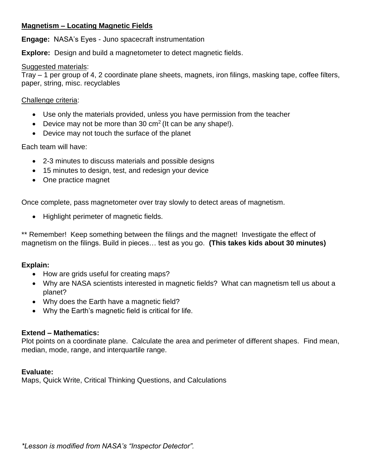### **Magnetism – Locating Magnetic Fields**

**Engage:** NASA's Eyes - Juno spacecraft instrumentation

**Explore:** Design and build a magnetometer to detect magnetic fields.

#### Suggested materials:

Tray – 1 per group of 4, 2 coordinate plane sheets, magnets, iron filings, masking tape, coffee filters, paper, string, misc. recyclables

#### Challenge criteria:

- Use only the materials provided, unless you have permission from the teacher
- **•** Device may not be more than 30 cm<sup>2</sup> (It can be any shape!).
- Device may not touch the surface of the planet

#### Each team will have:

- 2-3 minutes to discuss materials and possible designs
- 15 minutes to design, test, and redesign your device
- One practice magnet

Once complete, pass magnetometer over tray slowly to detect areas of magnetism.

Highlight perimeter of magnetic fields.

\*\* Remember! Keep something between the filings and the magnet! Investigate the effect of magnetism on the filings. Build in pieces… test as you go. **(This takes kids about 30 minutes)**

### **Explain:**

- How are grids useful for creating maps?
- Why are NASA scientists interested in magnetic fields? What can magnetism tell us about a planet?
- Why does the Earth have a magnetic field?
- Why the Earth's magnetic field is critical for life.

#### **Extend – Mathematics:**

Plot points on a coordinate plane. Calculate the area and perimeter of different shapes. Find mean, median, mode, range, and interquartile range.

#### **Evaluate:**

Maps, Quick Write, Critical Thinking Questions, and Calculations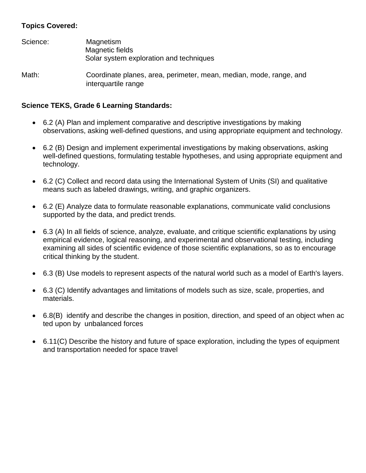# **Topics Covered:**

| Science: | Magnetism<br>Magnetic fields<br>Solar system exploration and techniques                   |
|----------|-------------------------------------------------------------------------------------------|
| Math:    | Coordinate planes, area, perimeter, mean, median, mode, range, and<br>interquartile range |

### **Science TEKS, Grade 6 Learning Standards:**

- 6.2 (A) Plan and implement comparative and descriptive investigations by making observations, asking well-defined questions, and using appropriate equipment and technology.
- 6.2 (B) Design and implement experimental investigations by making observations, asking well-defined questions, formulating testable hypotheses, and using appropriate equipment and technology.
- 6.2 (C) Collect and record data using the International System of Units (SI) and qualitative means such as labeled drawings, writing, and graphic organizers.
- 6.2 (E) Analyze data to formulate reasonable explanations, communicate valid conclusions supported by the data, and predict trends.
- 6.3 (A) In all fields of science, analyze, evaluate, and critique scientific explanations by using empirical evidence, logical reasoning, and experimental and observational testing, including examining all sides of scientific evidence of those scientific explanations, so as to encourage critical thinking by the student.
- 6.3 (B) Use models to represent aspects of the natural world such as a model of Earth's layers.
- 6.3 (C) Identify advantages and limitations of models such as size, scale, properties, and materials.
- 6.8(B) identify and describe the changes in position, direction, and speed of an object when ac ted upon by unbalanced forces
- 6.11(C) Describe the history and future of space exploration, including the types of equipment and transportation needed for space travel